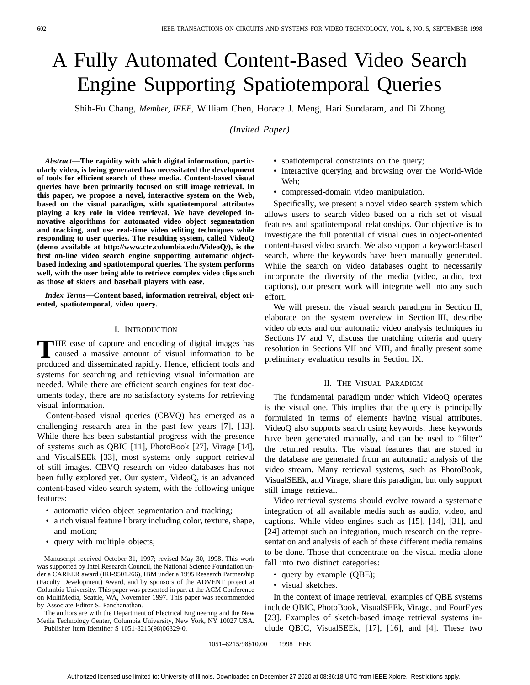# A Fully Automated Content-Based Video Search Engine Supporting Spatiotemporal Queries

Shih-Fu Chang, *Member, IEEE,* William Chen, Horace J. Meng, Hari Sundaram, and Di Zhong

*(Invited Paper)*

*Abstract—***The rapidity with which digital information, particularly video, is being generated has necessitated the development of tools for efficient search of these media. Content-based visual queries have been primarily focused on still image retrieval. In this paper, we propose a novel, interactive system on the Web, based on the visual paradigm, with spatiotemporal attributes playing a key role in video retrieval. We have developed innovative algorithms for automated video object segmentation and tracking, and use real-time video editing techniques while responding to user queries. The resulting system, called VideoQ (demo available at http://www.ctr.columbia.edu/VideoQ/), is the first on-line video search engine supporting automatic objectbased indexing and spatiotemporal queries. The system performs well, with the user being able to retrieve complex video clips such as those of skiers and baseball players with ease.**

*Index Terms—***Content based, information retreival, object oriented, spatiotemporal, video query.**

## I. INTRODUCTION

**T**HE ease of capture and encoding of digital images has caused a massive amount of visual information to be produced and disseminated rapidly. Hence, efficient tools and systems for searching and retrieving visual information are needed. While there are efficient search engines for text documents today, there are no satisfactory systems for retrieving visual information.

Content-based visual queries (CBVQ) has emerged as a challenging research area in the past few years [7], [13]. While there has been substantial progress with the presence of systems such as QBIC [11], PhotoBook [27], Virage [14], and VisualSEEk [33], most systems only support retrieval of still images. CBVQ research on video databases has not been fully explored yet. Our system, VideoQ, is an advanced content-based video search system, with the following unique features:

- automatic video object segmentation and tracking;
- a rich visual feature library including color, texture, shape, and motion;
- query with multiple objects;

Manuscript received October 31, 1997; revised May 30, 1998. This work was supported by Intel Research Council, the National Science Foundation under a CAREER award (IRI-9501266), IBM under a 1995 Research Partnership (Faculty Development) Award, and by sponsors of the ADVENT project at Columbia University. This paper was presented in part at the ACM Conference on MultiMedia, Seattle, WA, November 1997. This paper was recommended by Associate Editor S. Panchanathan.

The authors are with the Department of Electrical Engineering and the New Media Technology Center, Columbia University, New York, NY 10027 USA. Publisher Item Identifier S 1051-8215(98)06329-0.

- spatiotemporal constraints on the query;
- interactive querying and browsing over the World-Wide Web;
- compressed-domain video manipulation.

Specifically, we present a novel video search system which allows users to search video based on a rich set of visual features and spatiotemporal relationships. Our objective is to investigate the full potential of visual cues in object-oriented content-based video search. We also support a keyword-based search, where the keywords have been manually generated. While the search on video databases ought to necessarily incorporate the diversity of the media (video, audio, text captions), our present work will integrate well into any such effort.

We will present the visual search paradigm in Section II, elaborate on the system overview in Section III, describe video objects and our automatic video analysis techniques in Sections IV and V, discuss the matching criteria and query resolution in Sections VII and VIII, and finally present some preliminary evaluation results in Section IX.

### II. THE VISUAL PARADIGM

The fundamental paradigm under which VideoQ operates is the visual one. This implies that the query is principally formulated in terms of elements having visual attributes. VideoQ also supports search using keywords; these keywords have been generated manually, and can be used to "filter" the returned results. The visual features that are stored in the database are generated from an automatic analysis of the video stream. Many retrieval systems, such as PhotoBook, VisualSEEk, and Virage, share this paradigm, but only support still image retrieval.

Video retrieval systems should evolve toward a systematic integration of all available media such as audio, video, and captions. While video engines such as [15], [14], [31], and [24] attempt such an integration, much research on the representation and analysis of each of these different media remains to be done. Those that concentrate on the visual media alone fall into two distinct categories:

- query by example (QBE);
- visual sketches.

In the context of image retrieval, examples of QBE systems include QBIC, PhotoBook, VisualSEEk, Virage, and FourEyes [23]. Examples of sketch-based image retrieval systems include QBIC, VisualSEEk, [17], [16], and [4]. These two

1051–8215/98\$10.00 1998 IEEE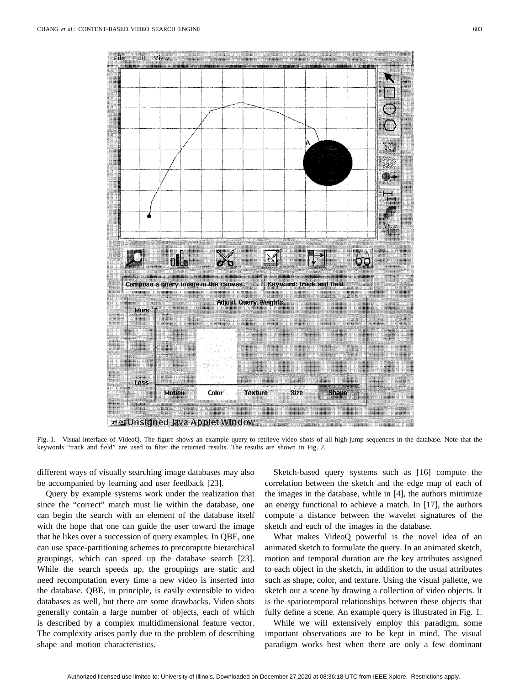

Fig. 1. Visual interface of VideoQ. The figure shows an example query to retrieve video shots of all high-jump sequences in the database. Note that the keywords "track and field" are used to filter the returned results. The results are shown in Fig. 2.

different ways of visually searching image databases may also be accompanied by learning and user feedback [23].

Query by example systems work under the realization that since the "correct" match must lie within the database, one can begin the search with an element of the database itself with the hope that one can guide the user toward the image that he likes over a succession of query examples. In QBE, one can use space-partitioning schemes to precompute hierarchical groupings, which can speed up the database search [23]. While the search speeds up, the groupings are static and need recomputation every time a new video is inserted into the database. QBE, in principle, is easily extensible to video databases as well, but there are some drawbacks. Video shots generally contain a large number of objects, each of which is described by a complex multidimensional feature vector. The complexity arises partly due to the problem of describing shape and motion characteristics.

Sketch-based query systems such as [16] compute the correlation between the sketch and the edge map of each of the images in the database, while in [4], the authors minimize an energy functional to achieve a match. In [17], the authors compute a distance between the wavelet signatures of the sketch and each of the images in the database.

What makes VideoQ powerful is the novel idea of an animated sketch to formulate the query. In an animated sketch, motion and temporal duration are the key attributes assigned to each object in the sketch, in addition to the usual attributes such as shape, color, and texture. Using the visual pallette, we sketch out a scene by drawing a collection of video objects. It is the spatiotemporal relationships between these objects that fully define a scene. An example query is illustrated in Fig. 1.

While we will extensively employ this paradigm, some important observations are to be kept in mind. The visual paradigm works best when there are only a few dominant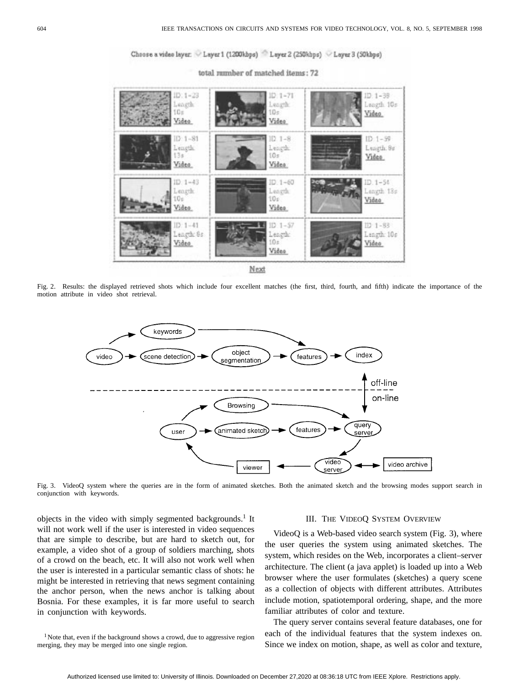

total number of matched items: 72



Fig. 2. Results: the displayed retrieved shots which include four excellent matches (the first, third, fourth, and fifth) indicate the importance of the motion attribute in video shot retrieval.



Fig. 3. VideoQ system where the queries are in the form of animated sketches. Both the animated sketch and the browsing modes support search in conjunction with keywords.

objects in the video with simply segmented backgrounds.<sup>1</sup> It will not work well if the user is interested in video sequences that are simple to describe, but are hard to sketch out, for example, a video shot of a group of soldiers marching, shots of a crowd on the beach, etc. It will also not work well when the user is interested in a particular semantic class of shots: he might be interested in retrieving that news segment containing the anchor person, when the news anchor is talking about Bosnia. For these examples, it is far more useful to search in conjunction with keywords.

<sup>1</sup> Note that, even if the background shows a crowd, due to aggressive region merging, they may be merged into one single region.

# III. THE VIDEOQ SYSTEM OVERVIEW

VideoQ is a Web-based video search system (Fig. 3), where the user queries the system using animated sketches. The system, which resides on the Web, incorporates a client–server architecture. The client (a java applet) is loaded up into a Web browser where the user formulates (sketches) a query scene as a collection of objects with different attributes. Attributes include motion, spatiotemporal ordering, shape, and the more familiar attributes of color and texture.

The query server contains several feature databases, one for each of the individual features that the system indexes on. Since we index on motion, shape, as well as color and texture,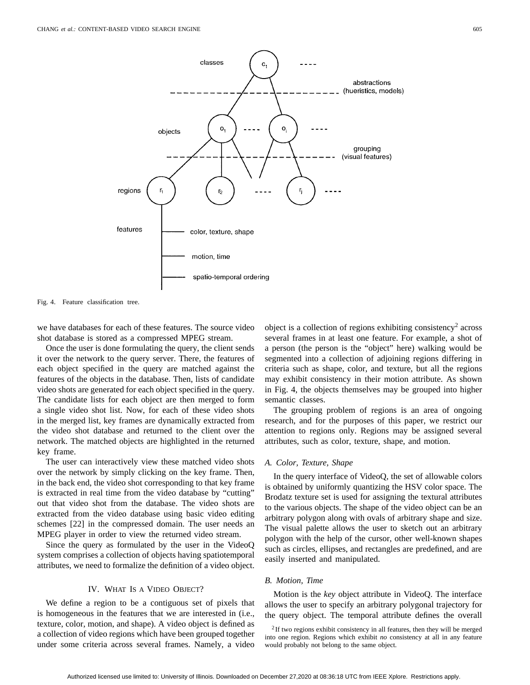

Fig. 4. Feature classification tree.

we have databases for each of these features. The source video shot database is stored as a compressed MPEG stream.

Once the user is done formulating the query, the client sends it over the network to the query server. There, the features of each object specified in the query are matched against the features of the objects in the database. Then, lists of candidate video shots are generated for each object specified in the query. The candidate lists for each object are then merged to form a single video shot list. Now, for each of these video shots in the merged list, key frames are dynamically extracted from the video shot database and returned to the client over the network. The matched objects are highlighted in the returned key frame.

The user can interactively view these matched video shots over the network by simply clicking on the key frame. Then, in the back end, the video shot corresponding to that key frame is extracted in real time from the video database by "cutting" out that video shot from the database. The video shots are extracted from the video database using basic video editing schemes [22] in the compressed domain. The user needs an MPEG player in order to view the returned video stream.

Since the query as formulated by the user in the VideoQ system comprises a collection of objects having spatiotemporal attributes, we need to formalize the definition of a video object.

## IV. WHAT IS A VIDEO OBJECT?

We define a region to be a contiguous set of pixels that is homogeneous in the features that we are interested in (i.e., texture, color, motion, and shape). A video object is defined as a collection of video regions which have been grouped together under some criteria across several frames. Namely, a video

object is a collection of regions exhibiting consistency<sup>2</sup> across several frames in at least one feature. For example, a shot of a person (the person is the "object" here) walking would be segmented into a collection of adjoining regions differing in criteria such as shape, color, and texture, but all the regions may exhibit consistency in their motion attribute. As shown in Fig. 4, the objects themselves may be grouped into higher semantic classes.

The grouping problem of regions is an area of ongoing research, and for the purposes of this paper, we restrict our attention to regions only. Regions may be assigned several attributes, such as color, texture, shape, and motion.

## *A. Color, Texture, Shape*

In the query interface of VideoQ, the set of allowable colors is obtained by uniformly quantizing the HSV color space. The Brodatz texture set is used for assigning the textural attributes to the various objects. The shape of the video object can be an arbitrary polygon along with ovals of arbitrary shape and size. The visual palette allows the user to sketch out an arbitrary polygon with the help of the cursor, other well-known shapes such as circles, ellipses, and rectangles are predefined, and are easily inserted and manipulated.

# *B. Motion, Time*

Motion is the *key* object attribute in VideoQ. The interface allows the user to specify an arbitrary polygonal trajectory for the query object. The temporal attribute defines the overall

 $2$ If two regions exhibit consistency in all features, then they will be merged into one region. Regions which exhibit *no* consistency at all in any feature would probably not belong to the same object.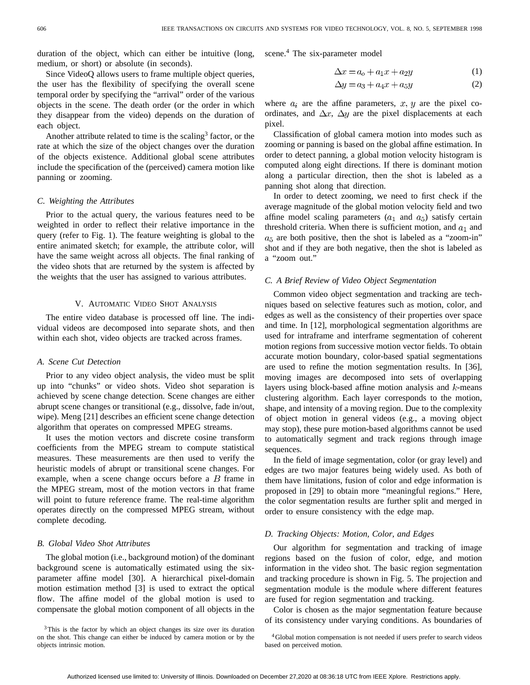duration of the object, which can either be intuitive (long, medium, or short) or absolute (in seconds).

Since VideoQ allows users to frame multiple object queries, the user has the flexibility of specifying the overall scene temporal order by specifying the "arrival" order of the various objects in the scene. The death order (or the order in which they disappear from the video) depends on the duration of each object.

Another attribute related to time is the scaling<sup>3</sup> factor, or the rate at which the size of the object changes over the duration of the objects existence. Additional global scene attributes include the specification of the (perceived) camera motion like panning or zooming.

## *C. Weighting the Attributes*

Prior to the actual query, the various features need to be weighted in order to reflect their relative importance in the query (refer to Fig. 1). The feature weighting is global to the entire animated sketch; for example, the attribute color, will have the same weight across all objects. The final ranking of the video shots that are returned by the system is affected by the weights that the user has assigned to various attributes.

### V. AUTOMATIC VIDEO SHOT ANALYSIS

The entire video database is processed off line. The individual videos are decomposed into separate shots, and then within each shot, video objects are tracked across frames.

# *A. Scene Cut Detection*

Prior to any video object analysis, the video must be split up into "chunks" or video shots. Video shot separation is achieved by scene change detection. Scene changes are either abrupt scene changes or transitional (e.g., dissolve, fade in/out, wipe). Meng [21] describes an efficient scene change detection algorithm that operates on compressed MPEG streams.

It uses the motion vectors and discrete cosine transform coefficients from the MPEG stream to compute statistical measures. These measurements are then used to verify the heuristic models of abrupt or transitional scene changes. For example, when a scene change occurs before a  $B$  frame in the MPEG stream, most of the motion vectors in that frame will point to future reference frame. The real-time algorithm operates directly on the compressed MPEG stream, without complete decoding.

# *B. Global Video Shot Attributes*

The global motion (i.e., background motion) of the dominant background scene is automatically estimated using the sixparameter affine model [30]. A hierarchical pixel-domain motion estimation method [3] is used to extract the optical flow. The affine model of the global motion is used to compensate the global motion component of all objects in the scene.<sup>4</sup> The six-parameter model

$$
\Delta x = a_o + a_1 x + a_2 y \tag{1}
$$

$$
\Delta y = a_3 + a_4 x + a_5 y \tag{2}
$$

where  $a_i$  are the affine parameters,  $x, y$  are the pixel coordinates, and  $\Delta x$ ,  $\Delta y$  are the pixel displacements at each pixel.

Classification of global camera motion into modes such as zooming or panning is based on the global affine estimation. In order to detect panning, a global motion velocity histogram is computed along eight directions. If there is dominant motion along a particular direction, then the shot is labeled as a panning shot along that direction.

In order to detect zooming, we need to first check if the average magnitude of the global motion velocity field and two affine model scaling parameters  $(a_1$  and  $a_5)$  satisfy certain threshold criteria. When there is sufficient motion, and  $a_1$  and  $a_5$  are both positive, then the shot is labeled as a "zoom-in" shot and if they are both negative, then the shot is labeled as a "zoom out."

## *C. A Brief Review of Video Object Segmentation*

Common video object segmentation and tracking are techniques based on selective features such as motion, color, and edges as well as the consistency of their properties over space and time. In [12], morphological segmentation algorithms are used for intraframe and interframe segmentation of coherent motion regions from successive motion vector fields. To obtain accurate motion boundary, color-based spatial segmentations are used to refine the motion segmentation results. In [36], moving images are decomposed into sets of overlapping layers using block-based affine motion analysis and  $k$ -means clustering algorithm. Each layer corresponds to the motion, shape, and intensity of a moving region. Due to the complexity of object motion in general videos (e.g., a moving object may stop), these pure motion-based algorithms cannot be used to automatically segment and track regions through image sequences.

In the field of image segmentation, color (or gray level) and edges are two major features being widely used. As both of them have limitations, fusion of color and edge information is proposed in [29] to obtain more "meaningful regions." Here, the color segmentation results are further split and merged in order to ensure consistency with the edge map.

### *D. Tracking Objects: Motion, Color, and Edges*

Our algorithm for segmentation and tracking of image regions based on the fusion of color, edge, and motion information in the video shot. The basic region segmentation and tracking procedure is shown in Fig. 5. The projection and segmentation module is the module where different features are fused for region segmentation and tracking.

Color is chosen as the major segmentation feature because of its consistency under varying conditions. As boundaries of

<sup>&</sup>lt;sup>3</sup>This is the factor by which an object changes its size over its duration on the shot. This change can either be induced by camera motion or by the objects intrinsic motion.

<sup>&</sup>lt;sup>4</sup>Global motion compensation is not needed if users prefer to search videos based on perceived motion.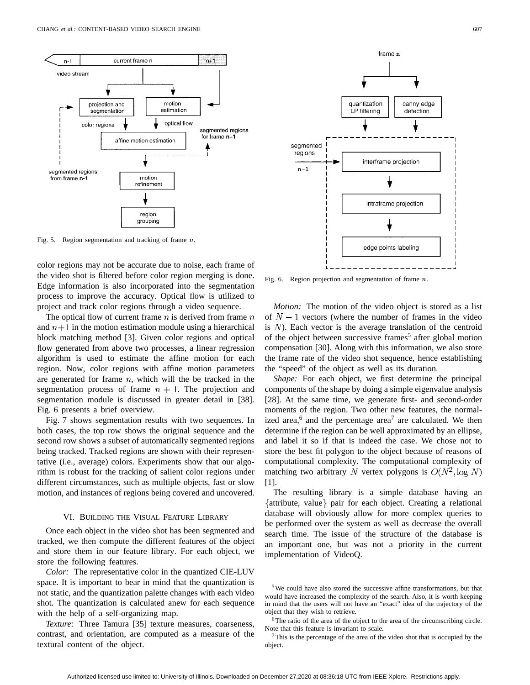

Fig. 5. Region segmentation and tracking of frame  $n$ .

color regions may not be accurate due to noise, each frame of the video shot is filtered before color region merging is done. Edge information is also incorporated into the segmentation process to improve the accuracy. Optical flow is utilized to project and track color regions through a video sequence.

The optical flow of current frame  $n$  is derived from frame  $n$ and  $n+1$  in the motion estimation module using a hierarchical block matching method [3]. Given color regions and optical flow generated from above two processes, a linear regression algorithm is used to estimate the affine motion for each region. Now, color regions with affine motion parameters are generated for frame  $n$ , which will the be tracked in the segmentation process of frame  $n + 1$ . The projection and segmentation module is discussed in greater detail in [38]. Fig. 6 presents a brief overview.

Fig. 7 shows segmentation results with two sequences. In both cases, the top row shows the original sequence and the second row shows a subset of automatically segmented regions being tracked. Tracked regions are shown with their representative (i.e., average) colors. Experiments show that our algorithm is robust for the tracking of salient color regions under different circumstances, such as multiple objects, fast or slow motion, and instances of regions being covered and uncovered.

#### VI. BUILDING THE VISUAL FEATURE LIBRARY

Once each object in the video shot has been segmented and tracked, we then compute the different features of the object and store them in our feature library. For each object, we store the following features.

*Color:* The representative color in the quantized CIE-LUV space. It is important to bear in mind that the quantization is not static, and the quantization palette changes with each video shot. The quantization is calculated anew for each sequence with the help of a self-organizing map.

*Texture:* Three Tamura [35] texture measures, coarseness, contrast, and orientation, are computed as a measure of the textural content of the object.



Fig. 6. Region projection and segmentation of frame  $n$ .

*Motion:* The motion of the video object is stored as a list of  $N-1$  vectors (where the number of frames in the video is  $N$ ). Each vector is the average translation of the centroid of the object between successive frames<sup>5</sup> after global motion compensation [30]. Along with this information, we also store the frame rate of the video shot sequence, hence establishing the "speed" of the object as well as its duration.

*Shape:* For each object, we first determine the principal components of the shape by doing a simple eigenvalue analysis [28]. At the same time, we generate first- and second-order moments of the region. Two other new features, the normalized area,<sup>6</sup> and the percentage area<sup>7</sup> are calculated. We then determine if the region can be well approximated by an ellipse, and label it so if that is indeed the case. We chose not to store the best fit polygon to the object because of reasons of computational complexity. The computational complexity of matching two arbitrary N vertex polygons is  $O(N^2, \log N)$ [1].

The resulting library is a simple database having an {attribute, value} pair for each object. Creating a relational database will obviously allow for more complex queries to be performed over the system as well as decrease the overall search time. The issue of the structure of the database is an important one, but was not a priority in the current implementation of VideoQ.

<sup>5</sup>We could have also stored the successive affine transformations, but that would have increased the complexity of the search. Also, it is worth keeping in mind that the users will not have an "exact" idea of the trajectory of the object that they wish to retrieve.

<sup>&</sup>lt;sup>6</sup>The ratio of the area of the object to the area of the circumscribing circle. Note that this feature is invariant to scale.

 $7$ This is the percentage of the area of the video shot that is occupied by the object.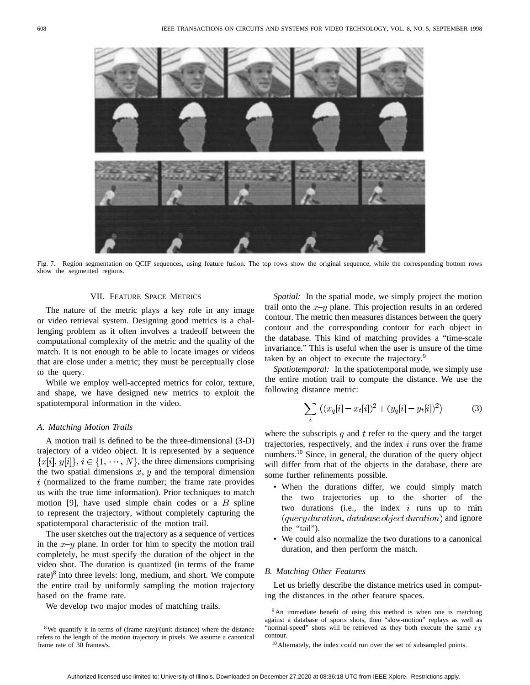

Fig. 7. Region segmentation on QCIF sequences, using feature fusion. The top rows show the original sequence, while the corresponding bottom rows show the segmented regions.

## VII. FEATURE SPACE METRICS

The nature of the metric plays a key role in any image or video retrieval system. Designing good metrics is a challenging problem as it often involves a tradeoff between the computational complexity of the metric and the quality of the match. It is not enough to be able to locate images or videos that are close under a metric; they must be perceptually close to the query.

While we employ well-accepted metrics for color, texture, and shape, we have designed new metrics to exploit the spatiotemporal information in the video.

## *A. Matching Motion Trails*

A motion trail is defined to be the three-dimensional (3-D) trajectory of a video object. It is represented by a sequence  ${x[i], y[i]}, i \in \{1, \dots, N\}$ , the three dimensions comprising the two spatial dimensions  $x, y$  and the temporal dimension  $t$  (normalized to the frame number; the frame rate provides us with the true time information). Prior techniques to match motion [9], have used simple chain codes or a  $B$  spline to represent the trajectory, without completely capturing the spatiotemporal characteristic of the motion trail.

The user sketches out the trajectory as a sequence of vertices in the  $x-y$  plane. In order for him to specify the motion trail completely, he must specify the duration of the object in the video shot. The duration is quantized (in terms of the frame rate) $8$  into three levels: long, medium, and short. We compute the entire trail by uniformly sampling the motion trajectory based on the frame rate.

We develop two major modes of matching trails.

*Spatial:* In the spatial mode, we simply project the motion trail onto the  $x-y$  plane. This projection results in an ordered contour. The metric then measures distances between the query contour and the corresponding contour for each object in the database. This kind of matching provides a "time-scale invariance." This is useful when the user is unsure of the time taken by an object to execute the trajectory.<sup>9</sup>

*Spatiotemporal:* In the spatiotemporal mode, we simply use the entire motion trail to compute the distance. We use the following distance metric:

$$
\sum_{i} \left( (x_q[i] - x_t[i])^2 + (y_q[i] - y_t[i])^2 \right) \tag{3}
$$

where the subscripts q and t refer to the query and the target trajectories, respectively, and the index  $i$  runs over the frame numbers.<sup>10</sup> Since, in general, the duration of the query object will differ from that of the objects in the database, there are some further refinements possible.

- When the durations differ, we could simply match the two trajectories up to the shorter of the two durations (i.e., the index  $i$  runs up to min  $(query duration, database object duration)$  and ignore the "tail").
- We could also normalize the two durations to a canonical duration, and then perform the match.

## *B. Matching Other Features*

Let us briefly describe the distance metrics used in computing the distances in the other feature spaces.

 $8$ We quantify it in terms of (frame rate)/(unit distance) where the distance refers to the length of the motion trajectory in pixels. We assume a canonical frame rate of 30 frames/s.

<sup>&</sup>lt;sup>9</sup>An immediate benefit of using this method is when one is matching against a database of sports shots, then "slow-motion" replays as well as "normal-speed" shots will be retrieved as they both execute the same  $xy$ contour.

<sup>&</sup>lt;sup>10</sup> Alternately, the index could run over the set of subsampled points.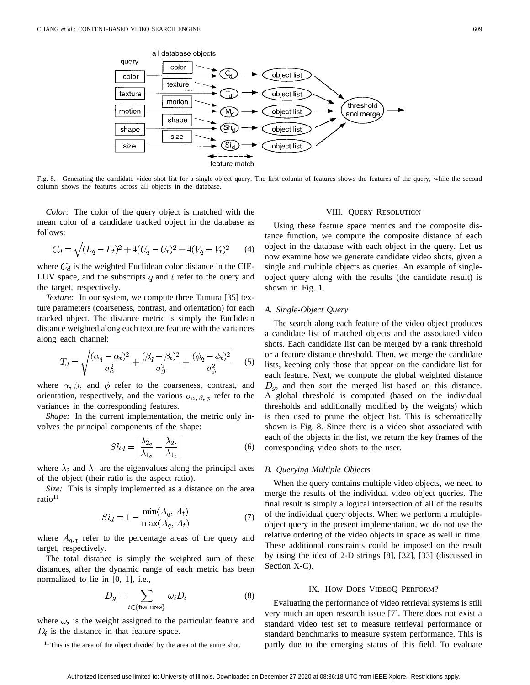

Fig. 8. Generating the candidate video shot list for a single-object query. The first column of features shows the features of the query, while the second column shows the features across all objects in the database.

*Color:* The color of the query object is matched with the mean color of a candidate tracked object in the database as follows:

$$
C_d = \sqrt{(L_q - L_t)^2 + 4(U_q - U_t)^2 + 4(V_q - V_t)^2}
$$
 (4)

where  $C_d$  is the weighted Euclidean color distance in the CIE-LUV space, and the subscripts  $q$  and  $t$  refer to the query and the target, respectively.

*Texture:* In our system, we compute three Tamura [35] texture parameters (coarseness, contrast, and orientation) for each tracked object. The distance metric is simply the Euclidean distance weighted along each texture feature with the variances along each channel:

$$
T_d = \sqrt{\frac{(\alpha_q - \alpha_t)^2}{\sigma_\alpha^2} + \frac{(\beta_q - \beta_t)^2}{\sigma_\beta^2} + \frac{(\phi_q - \phi_t)^2}{\sigma_\phi^2}} \tag{5}
$$

where  $\alpha$ ,  $\beta$ , and  $\phi$  refer to the coarseness, contrast, and orientation, respectively, and the various  $\sigma_{\alpha,\beta,\phi}$  refer to the variances in the corresponding features.

*Shape:* In the current implementation, the metric only involves the principal components of the shape:

$$
Sh_d = \left| \frac{\lambda_{2_q}}{\lambda_{1_q}} - \frac{\lambda_{2_t}}{\lambda_{1_t}} \right| \tag{6}
$$

where  $\lambda_2$  and  $\lambda_1$  are the eigenvalues along the principal axes of the object (their ratio is the aspect ratio).

*Size:* This is simply implemented as a distance on the area ratio<sup>11</sup>

$$
Si_d = 1 - \frac{\min(A_q, A_t)}{\max(A_q, A_t)}\tag{7}
$$

where  $A_{q,t}$  refer to the percentage areas of the query and target, respectively.

The total distance is simply the weighted sum of these distances, after the dynamic range of each metric has been normalized to lie in [0, 1], i.e.,

$$
D_g = \sum_{i \in \{\text{features}\}} \omega_i D_i \tag{8}
$$

where  $\omega_i$  is the weight assigned to the particular feature and  $D_i$  is the distance in that feature space.

#### VIII. QUERY RESOLUTION

Using these feature space metrics and the composite distance function, we compute the composite distance of each object in the database with each object in the query. Let us now examine how we generate candidate video shots, given a single and multiple objects as queries. An example of singleobject query along with the results (the candidate result) is shown in Fig. 1.

### *A. Single-Object Query*

The search along each feature of the video object produces a candidate list of matched objects and the associated video shots. Each candidate list can be merged by a rank threshold or a feature distance threshold. Then, we merge the candidate lists, keeping only those that appear on the candidate list for each feature. Next, we compute the global weighted distance  $D_q$ , and then sort the merged list based on this distance. A global threshold is computed (based on the individual thresholds and additionally modified by the weights) which is then used to prune the object list. This is schematically shown is Fig. 8. Since there is a video shot associated with each of the objects in the list, we return the key frames of the corresponding video shots to the user.

### *B. Querying Multiple Objects*

When the query contains multiple video objects, we need to merge the results of the individual video object queries. The final result is simply a logical intersection of all of the results of the individual query objects. When we perform a multipleobject query in the present implementation, we do not use the relative ordering of the video objects in space as well in time. These additional constraints could be imposed on the result by using the idea of 2-D strings [8], [32], [33] (discussed in Section X-C).

## IX. HOW DOES VIDEOQ PERFORM?

Evaluating the performance of video retrieval systems is still very much an open research issue [7]. There does not exist a standard video test set to measure retrieval performance or standard benchmarks to measure system performance. This is partly due to the emerging status of this field. To evaluate

 $11$ This is the area of the object divided by the area of the entire shot.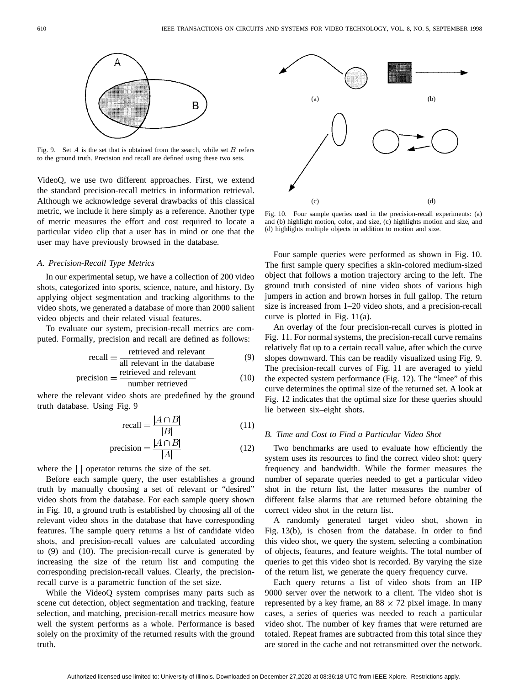

Fig. 9. Set  $A$  is the set that is obtained from the search, while set  $B$  refers to the ground truth. Precision and recall are defined using these two sets.

VideoQ, we use two different approaches. First, we extend the standard precision-recall metrics in information retrieval. Although we acknowledge several drawbacks of this classical metric, we include it here simply as a reference. Another type of metric measures the effort and cost required to locate a particular video clip that a user has in mind or one that the user may have previously browsed in the database.

## *A. Precision-Recall Type Metrics*

In our experimental setup, we have a collection of 200 video shots, categorized into sports, science, nature, and history. By applying object segmentation and tracking algorithms to the video shots, we generated a database of more than 2000 salient video objects and their related visual features.

To evaluate our system, precision-recall metrics are computed. Formally, precision and recall are defined as follows:

$$
recall = \frac{\text{retrieved and relevant}}{\text{all relevant in the database}}
$$
\n
$$
(9)
$$
\n
$$
retrieved and relevant
$$

$$
precision = \frac{retrieved \text{ and relevant}}{\text{number retrieved}}
$$
 (10)

where the relevant video shots are predefined by the ground truth database. Using Fig. 9

$$
recall = \frac{|A \cap B|}{|B|} \tag{11}
$$

$$
precision = \frac{|A \cap B|}{|A|} \tag{12}
$$

where the  $\vert \vert$  operator returns the size of the set.

Before each sample query, the user establishes a ground truth by manually choosing a set of relevant or "desired" video shots from the database. For each sample query shown in Fig. 10, a ground truth is established by choosing all of the relevant video shots in the database that have corresponding features. The sample query returns a list of candidate video shots, and precision-recall values are calculated according to (9) and (10). The precision-recall curve is generated by increasing the size of the return list and computing the corresponding precision-recall values. Clearly, the precisionrecall curve is a parametric function of the set size.

While the VideoQ system comprises many parts such as scene cut detection, object segmentation and tracking, feature selection, and matching, precision-recall metrics measure how well the system performs as a whole. Performance is based solely on the proximity of the returned results with the ground truth.



Fig. 10. Four sample queries used in the precision-recall experiments: (a) and (b) highlight motion, color, and size, (c) highlights motion and size, and (d) highlights multiple objects in addition to motion and size.

Four sample queries were performed as shown in Fig. 10. The first sample query specifies a skin-colored medium-sized object that follows a motion trajectory arcing to the left. The ground truth consisted of nine video shots of various high jumpers in action and brown horses in full gallop. The return size is increased from 1–20 video shots, and a precision-recall curve is plotted in Fig. 11(a).

An overlay of the four precision-recall curves is plotted in Fig. 11. For normal systems, the precision-recall curve remains relatively flat up to a certain recall value, after which the curve slopes downward. This can be readily visualized using Fig. 9. The precision-recall curves of Fig. 11 are averaged to yield the expected system performance (Fig. 12). The "knee" of this curve determines the optimal size of the returned set. A look at Fig. 12 indicates that the optimal size for these queries should lie between six–eight shots.

# *B. Time and Cost to Find a Particular Video Shot*

Two benchmarks are used to evaluate how efficiently the system uses its resources to find the correct video shot: query frequency and bandwidth. While the former measures the number of separate queries needed to get a particular video shot in the return list, the latter measures the number of different false alarms that are returned before obtaining the correct video shot in the return list.

A randomly generated target video shot, shown in Fig. 13(b), is chosen from the database. In order to find this video shot, we query the system, selecting a combination of objects, features, and feature weights. The total number of queries to get this video shot is recorded. By varying the size of the return list, we generate the query frequency curve.

Each query returns a list of video shots from an HP 9000 server over the network to a client. The video shot is represented by a key frame, an  $88 \times 72$  pixel image. In many cases, a series of queries was needed to reach a particular video shot. The number of key frames that were returned are totaled. Repeat frames are subtracted from this total since they are stored in the cache and not retransmitted over the network.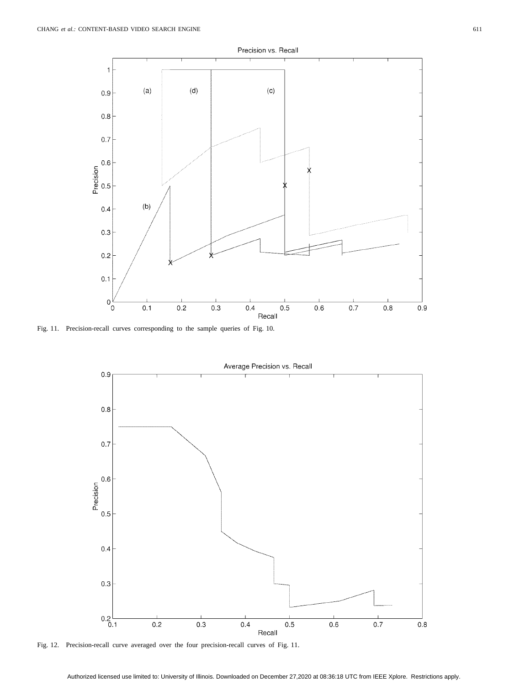

Fig. 11. Precision-recall curves corresponding to the sample queries of Fig. 10.



Fig. 12. Precision-recall curve averaged over the four precision-recall curves of Fig. 11.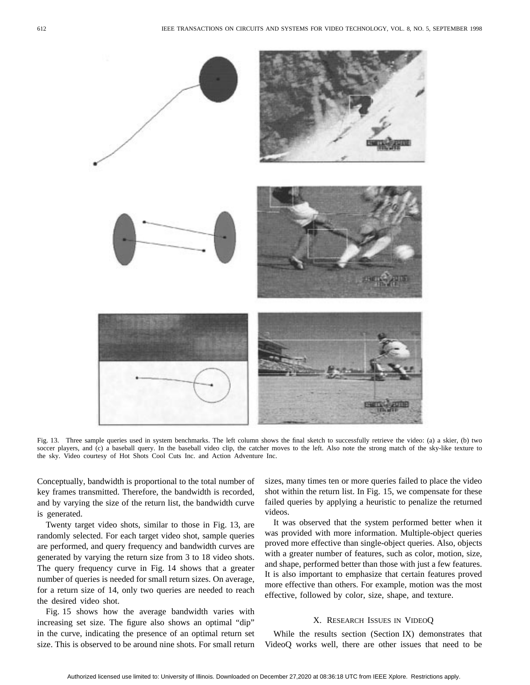

Fig. 13. Three sample queries used in system benchmarks. The left column shows the final sketch to successfully retrieve the video: (a) a skier, (b) two soccer players, and (c) a baseball query. In the baseball video clip, the catcher moves to the left. Also note the strong match of the sky-like texture to the sky. Video courtesy of Hot Shots Cool Cuts Inc. and Action Adventure Inc.

Conceptually, bandwidth is proportional to the total number of key frames transmitted. Therefore, the bandwidth is recorded, and by varying the size of the return list, the bandwidth curve is generated.

Twenty target video shots, similar to those in Fig. 13, are randomly selected. For each target video shot, sample queries are performed, and query frequency and bandwidth curves are generated by varying the return size from 3 to 18 video shots. The query frequency curve in Fig. 14 shows that a greater number of queries is needed for small return sizes. On average, for a return size of 14, only two queries are needed to reach the desired video shot.

Fig. 15 shows how the average bandwidth varies with increasing set size. The figure also shows an optimal "dip" in the curve, indicating the presence of an optimal return set size. This is observed to be around nine shots. For small return sizes, many times ten or more queries failed to place the video shot within the return list. In Fig. 15, we compensate for these failed queries by applying a heuristic to penalize the returned videos.

It was observed that the system performed better when it was provided with more information. Multiple-object queries proved more effective than single-object queries. Also, objects with a greater number of features, such as color, motion, size, and shape, performed better than those with just a few features. It is also important to emphasize that certain features proved more effective than others. For example, motion was the most effective, followed by color, size, shape, and texture.

#### X. RESEARCH ISSUES IN VIDEOQ

While the results section (Section IX) demonstrates that VideoQ works well, there are other issues that need to be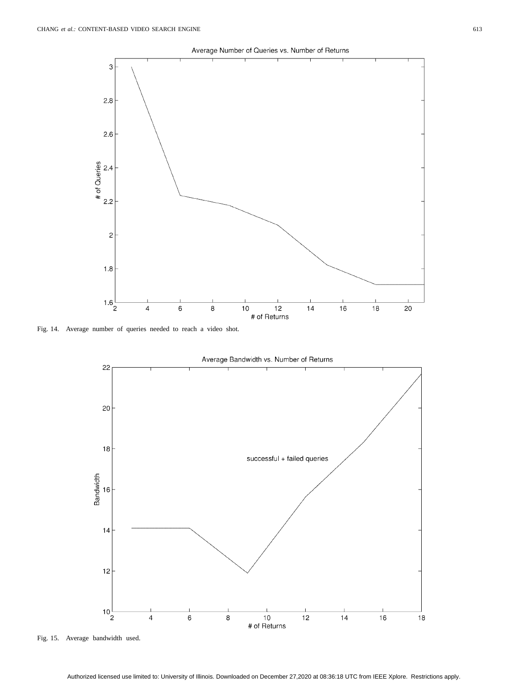

Fig. 14. Average number of queries needed to reach a video shot.



Fig. 15. Average bandwidth used.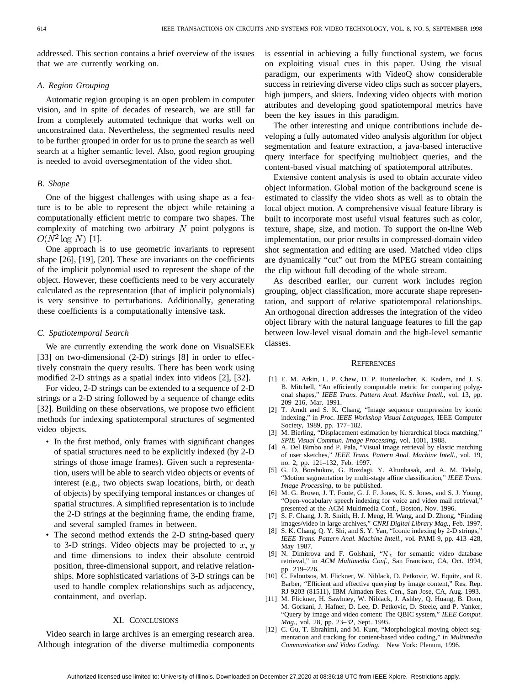addressed. This section contains a brief overview of the issues that we are currently working on.

# *A. Region Grouping*

Automatic region grouping is an open problem in computer vision, and in spite of decades of research, we are still far from a completely automated technique that works well on unconstrained data. Nevertheless, the segmented results need to be further grouped in order for us to prune the search as well search at a higher semantic level. Also, good region grouping is needed to avoid oversegmentation of the video shot.

#### *B. Shape*

One of the biggest challenges with using shape as a feature is to be able to represent the object while retaining a computationally efficient metric to compare two shapes. The complexity of matching two arbitrary  $N$  point polygons is  $O(N^2 \log N)$  [1].

One approach is to use geometric invariants to represent shape [26], [19], [20]. These are invariants on the coefficients of the implicit polynomial used to represent the shape of the object. However, these coefficients need to be very accurately calculated as the representation (that of implicit polynomials) is very sensitive to perturbations. Additionally, generating these coefficients is a computationally intensive task.

# *C. Spatiotemporal Search*

We are currently extending the work done on VisualSEEk [33] on two-dimensional (2-D) strings [8] in order to effectively constrain the query results. There has been work using modified 2-D strings as a spatial index into videos [2], [32].

For video, 2-D strings can be extended to a sequence of 2-D strings or a 2-D string followed by a sequence of change edits [32]. Building on these observations, we propose two efficient methods for indexing spatiotemporal structures of segmented video objects.

- In the first method, only frames with significant changes of spatial structures need to be explicitly indexed (by 2-D strings of those image frames). Given such a representation, users will be able to search video objects or events of interest (e.g., two objects swap locations, birth, or death of objects) by specifying temporal instances or changes of spatial structures. A simplified representation is to include the 2-D strings at the beginning frame, the ending frame, and several sampled frames in between.
- The second method extends the 2-D string-based query to 3-D strings. Video objects may be projected to  $x, y$ and time dimensions to index their absolute centroid position, three-dimensional support, and relative relationships. More sophisticated variations of 3-D strings can be used to handle complex relationships such as adjacency, containment, and overlap.

#### XI. CONCLUSIONS

Video search in large archives is an emerging research area. Although integration of the diverse multimedia components is essential in achieving a fully functional system, we focus on exploiting visual cues in this paper. Using the visual paradigm, our experiments with VideoQ show considerable success in retrieving diverse video clips such as soccer players, high jumpers, and skiers. Indexing video objects with motion attributes and developing good spatiotemporal metrics have been the key issues in this paradigm.

The other interesting and unique contributions include developing a fully automated video analysis algorithm for object segmentation and feature extraction, a java-based interactive query interface for specifying multiobject queries, and the content-based visual matching of spatiotemporal attributes.

Extensive content analysis is used to obtain accurate video object information. Global motion of the background scene is estimated to classify the video shots as well as to obtain the local object motion. A comprehensive visual feature library is built to incorporate most useful visual features such as color, texture, shape, size, and motion. To support the on-line Web implementation, our prior results in compressed-domain video shot segmentation and editing are used. Matched video clips are dynamically "cut" out from the MPEG stream containing the clip without full decoding of the whole stream.

As described earlier, our current work includes region grouping, object classification, more accurate shape representation, and support of relative spatiotemporal relationships. An orthogonal direction addresses the integration of the video object library with the natural language features to fill the gap between low-level visual domain and the high-level semantic classes.

#### **REFERENCES**

- [1] E. M. Arkin, L. P. Chew, D. P. Huttenlocher, K. Kadem, and J. S. B. Mitchell, "An efficiently computable metric for comparing polygonal shapes," *IEEE Trans. Pattern Anal. Machine Intell.,* vol. 13, pp. 209–216, Mar. 1991.
- [2] T. Arndt and S. K. Chang, "Image sequence compression by iconic indexing," in *Proc. IEEE Workshop Visual Languages,* IEEE Computer Society, 1989, pp. 177–182.
- [3] M. Bierling, "Displacement estimation by hierarchical block matching," *SPIE Visual Commun. Image Processing,* vol. 1001, 1988.
- [4] A. Del Bimbo and P. Pala, "Visual image retrieval by elastic matching of user sketches," *IEEE Trans. Pattern Anal. Machine Intell.*, vol. 19, no. 2, pp. 121–132, Feb. 1997.
- [5] G. D. Borshukov, G. Bozdagi, Y. Altunbasak, and A. M. Tekalp, "Motion segmentation by multi-stage affine classification," *IEEE Trans. Image Processing,* to be published.
- [6] M. G. Brown, J. T. Foote, G. J. F. Jones, K. S. Jones, and S. J. Young, "Open-vocabulary speech indexing for voice and video mail retrieval," presented at the ACM Multimedia Conf., Boston, Nov. 1996.
- [7] S. F. Chang, J. R. Smith, H. J. Meng, H. Wang, and D. Zhong, "Finding images/video in large archives," *CNRI Digital Library Mag.,* Feb. 1997.
- [8] S. K. Chang, Q. Y. Shi, and S. Y. Yan, "Iconic indexing by 2-D strings," *IEEE Trans. Pattern Anal. Machine Intell.*, vol. PAMI-9, pp. 413–428, May 1987.
- [9] N. Dimitrova and F. Golshani, " $\mathcal{R}_{\chi}$  for semantic video database retrieval," in *ACM Multimedia Conf.*, San Francisco, CA, Oct. 1994, pp. 219–226.
- [10] C. Faloutsos, M. Flickner, W. Niblack, D. Petkovic, W. Equitz, and R. Barber, "Efficient and effective querying by image content," Res. Rep. RJ 9203 (81511), IBM Almaden Res. Cen., San Jose, CA, Aug. 1993.
- [11] M. Flickner, H. Sawhney, W. Niblack, J. Ashley, Q. Huang, B. Dom, M. Gorkani, J. Hafner, D. Lee, D. Petkovic, D. Steele, and P. Yanker, "Query by image and video content: The QBIC system," *IEEE Comput. Mag.*, vol. 28, pp. 23–32, Sept. 1995.
- [12] C. Gu, T. Ebrahimi, and M. Kunt, "Morphological moving object segmentation and tracking for content-based video coding," in *Multimedia Communication and Video Coding.* New York: Plenum, 1996.